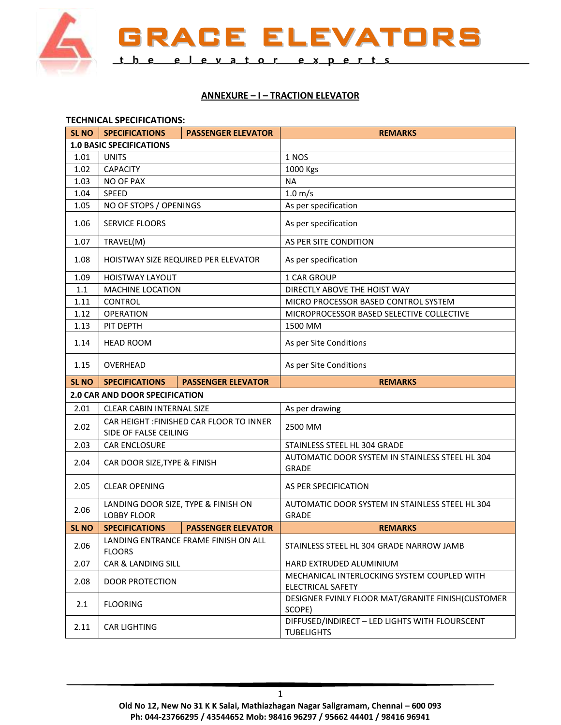

GRACE ELEVATORS **t h e e l e v a t o r e x p e r t s**

## **ANNEXURE – I – TRACTION ELEVATOR**

|                                 | <b>TECHNICAL SPECIFICATIONS:</b>    |                                          |                                                                         |  |  |  |  |
|---------------------------------|-------------------------------------|------------------------------------------|-------------------------------------------------------------------------|--|--|--|--|
| <b>SL NO</b>                    | <b>SPECIFICATIONS</b>               | <b>PASSENGER ELEVATOR</b>                | <b>REMARKS</b>                                                          |  |  |  |  |
| <b>1.0 BASIC SPECIFICATIONS</b> |                                     |                                          |                                                                         |  |  |  |  |
| 1.01                            | <b>UNITS</b>                        |                                          | 1 NOS                                                                   |  |  |  |  |
| 1.02                            | <b>CAPACITY</b>                     |                                          | 1000 Kgs                                                                |  |  |  |  |
| 1.03                            | NO OF PAX                           |                                          | <b>NA</b>                                                               |  |  |  |  |
| 1.04                            | SPEED                               |                                          | $1.0 \text{ m/s}$                                                       |  |  |  |  |
| 1.05                            | NO OF STOPS / OPENINGS              |                                          | As per specification                                                    |  |  |  |  |
| 1.06                            | <b>SERVICE FLOORS</b>               |                                          | As per specification                                                    |  |  |  |  |
| 1.07                            | TRAVEL(M)                           |                                          | AS PER SITE CONDITION                                                   |  |  |  |  |
| 1.08                            | HOISTWAY SIZE REQUIRED PER ELEVATOR |                                          | As per specification                                                    |  |  |  |  |
| 1.09                            | <b>HOISTWAY LAYOUT</b>              |                                          | 1 CAR GROUP                                                             |  |  |  |  |
| 1.1                             | <b>MACHINE LOCATION</b>             |                                          | DIRECTLY ABOVE THE HOIST WAY                                            |  |  |  |  |
| 1.11                            | <b>CONTROL</b>                      |                                          | MICRO PROCESSOR BASED CONTROL SYSTEM                                    |  |  |  |  |
| 1.12                            | <b>OPERATION</b>                    |                                          | MICROPROCESSOR BASED SELECTIVE COLLECTIVE                               |  |  |  |  |
| 1.13                            | PIT DEPTH                           |                                          | 1500 MM                                                                 |  |  |  |  |
| 1.14                            | <b>HEAD ROOM</b>                    |                                          | As per Site Conditions                                                  |  |  |  |  |
| 1.15                            | <b>OVERHEAD</b>                     |                                          | As per Site Conditions                                                  |  |  |  |  |
| <b>SL NO</b>                    | <b>SPECIFICATIONS</b>               | <b>PASSENGER ELEVATOR</b>                | <b>REMARKS</b>                                                          |  |  |  |  |
|                                 | 2.0 CAR AND DOOR SPECIFICATION      |                                          |                                                                         |  |  |  |  |
|                                 |                                     |                                          |                                                                         |  |  |  |  |
| 2.01                            | <b>CLEAR CABIN INTERNAL SIZE</b>    |                                          | As per drawing                                                          |  |  |  |  |
| 2.02                            | SIDE OF FALSE CEILING               | CAR HEIGHT : FINISHED CAR FLOOR TO INNER | 2500 MM                                                                 |  |  |  |  |
| 2.03                            | <b>CAR ENCLOSURE</b>                |                                          | STAINLESS STEEL HL 304 GRADE                                            |  |  |  |  |
| 2.04                            | CAR DOOR SIZE, TYPE & FINISH        |                                          | AUTOMATIC DOOR SYSTEM IN STAINLESS STEEL HL 304<br><b>GRADE</b>         |  |  |  |  |
| 2.05                            | <b>CLEAR OPENING</b>                |                                          | AS PER SPECIFICATION                                                    |  |  |  |  |
| 2.06                            | LANDING DOOR SIZE, TYPE & FINISH ON |                                          | AUTOMATIC DOOR SYSTEM IN STAINLESS STEEL HL 304                         |  |  |  |  |
|                                 | <b>LOBBY FLOOR</b>                  |                                          | <b>GRADE</b>                                                            |  |  |  |  |
| SL <sub>NO</sub>                | <b>SPECIFICATIONS</b>               | <b>PASSENGER ELEVATOR</b>                | <b>REMARKS</b>                                                          |  |  |  |  |
| 2.06                            | <b>FLOORS</b>                       | LANDING ENTRANCE FRAME FINISH ON ALL     | STAINLESS STEEL HL 304 GRADE NARROW JAMB                                |  |  |  |  |
| 2.07                            | CAR & LANDING SILL                  |                                          | HARD EXTRUDED ALUMINIUM                                                 |  |  |  |  |
| 2.08                            | <b>DOOR PROTECTION</b>              |                                          | MECHANICAL INTERLOCKING SYSTEM COUPLED WITH<br><b>ELECTRICAL SAFETY</b> |  |  |  |  |
| 2.1                             | <b>FLOORING</b>                     |                                          | DESIGNER FVINLY FLOOR MAT/GRANITE FINISH(CUSTOMER<br>SCOPE)             |  |  |  |  |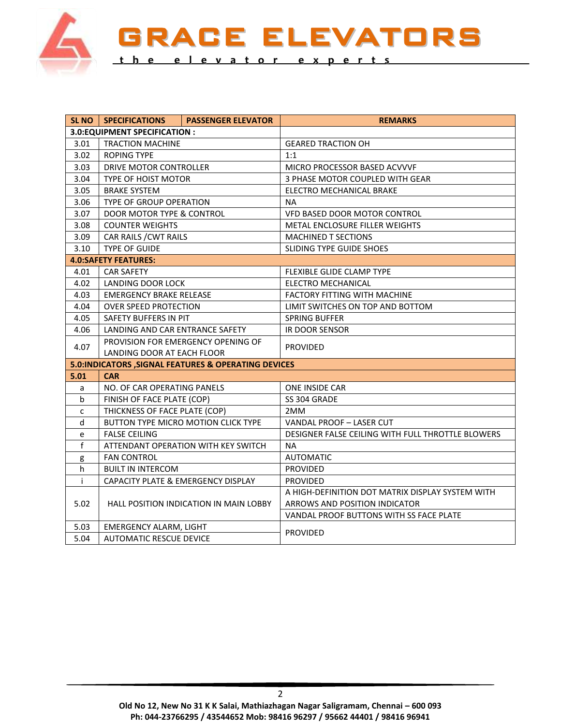

RACE ELEVATORS **t h e e l e v a t o r e x p e r t s**

|                                | SL NO   SPECIFICATIONS                               | <b>PASSENGER ELEVATOR</b> | <b>REMARKS</b>                                    |  |  |  |  |
|--------------------------------|------------------------------------------------------|---------------------------|---------------------------------------------------|--|--|--|--|
| 3.0: EQUIPMENT SPECIFICATION : |                                                      |                           |                                                   |  |  |  |  |
| 3.01                           | <b>TRACTION MACHINE</b>                              |                           | <b>GEARED TRACTION OH</b>                         |  |  |  |  |
| 3.02                           | <b>ROPING TYPE</b>                                   |                           | 1:1                                               |  |  |  |  |
| 3.03                           | DRIVE MOTOR CONTROLLER                               |                           | MICRO PROCESSOR BASED ACVVVF                      |  |  |  |  |
| 3.04                           | TYPE OF HOIST MOTOR                                  |                           | 3 PHASE MOTOR COUPLED WITH GEAR                   |  |  |  |  |
| 3.05                           | <b>BRAKE SYSTEM</b>                                  |                           | ELECTRO MECHANICAL BRAKE                          |  |  |  |  |
| 3.06                           | TYPE OF GROUP OPERATION                              |                           | ΝA                                                |  |  |  |  |
| 3.07                           | DOOR MOTOR TYPE & CONTROL                            |                           | VFD BASED DOOR MOTOR CONTROL                      |  |  |  |  |
| 3.08                           | <b>COUNTER WEIGHTS</b>                               |                           | <b>METAL ENCLOSURE FILLER WEIGHTS</b>             |  |  |  |  |
| 3.09                           | CAR RAILS / CWT RAILS                                |                           | <b>MACHINED T SECTIONS</b>                        |  |  |  |  |
| 3.10                           | <b>TYPE OF GUIDE</b>                                 |                           | SLIDING TYPE GUIDE SHOES                          |  |  |  |  |
| <b>4.0:SAFETY FEATURES:</b>    |                                                      |                           |                                                   |  |  |  |  |
| 4.01                           | <b>CAR SAFETY</b>                                    |                           | FLEXIBLE GLIDE CLAMP TYPE                         |  |  |  |  |
| 4.02                           | LANDING DOOR LOCK                                    |                           | <b>ELECTRO MECHANICAL</b>                         |  |  |  |  |
| 4.03                           | <b>EMERGENCY BRAKE RELEASE</b>                       |                           | FACTORY FITTING WITH MACHINE                      |  |  |  |  |
| 4.04                           | <b>OVER SPEED PROTECTION</b>                         |                           | LIMIT SWITCHES ON TOP AND BOTTOM                  |  |  |  |  |
| 4.05                           | SAFETY BUFFERS IN PIT                                |                           | <b>SPRING BUFFER</b>                              |  |  |  |  |
| 4.06                           | LANDING AND CAR ENTRANCE SAFETY                      |                           | <b>IR DOOR SENSOR</b>                             |  |  |  |  |
|                                | PROVISION FOR EMERGENCY OPENING OF                   |                           | PROVIDED                                          |  |  |  |  |
| 4.07                           | LANDING DOOR AT EACH FLOOR                           |                           |                                                   |  |  |  |  |
|                                | 5.0: INDICATORS, SIGNAL FEATURES & OPERATING DEVICES |                           |                                                   |  |  |  |  |
| 5.01                           | <b>CAR</b>                                           |                           |                                                   |  |  |  |  |
| a                              | NO. OF CAR OPERATING PANELS                          |                           | ONE INSIDE CAR                                    |  |  |  |  |
| b                              | FINISH OF FACE PLATE (COP)                           |                           | SS 304 GRADE                                      |  |  |  |  |
| C                              | THICKNESS OF FACE PLATE (COP)                        |                           | 2MM                                               |  |  |  |  |
| d                              | BUTTON TYPE MICRO MOTION CLICK TYPE                  |                           | VANDAL PROOF - LASER CUT                          |  |  |  |  |
| e                              | <b>FALSE CEILING</b>                                 |                           | DESIGNER FALSE CEILING WITH FULL THROTTLE BLOWERS |  |  |  |  |
| f                              | ATTENDANT OPERATION WITH KEY SWITCH                  |                           | NA.                                               |  |  |  |  |
| g                              | <b>FAN CONTROL</b>                                   |                           | <b>AUTOMATIC</b>                                  |  |  |  |  |
| h.                             | <b>BUILT IN INTERCOM</b>                             |                           | <b>PROVIDED</b>                                   |  |  |  |  |
| i.                             | CAPACITY PLATE & EMERGENCY DISPLAY                   |                           | <b>PROVIDED</b>                                   |  |  |  |  |
| 5.02                           | <b>HALL POSITION INDICATION IN MAIN LOBBY</b>        |                           | A HIGH-DEFINITION DOT MATRIX DISPLAY SYSTEM WITH  |  |  |  |  |
|                                |                                                      |                           | ARROWS AND POSITION INDICATOR                     |  |  |  |  |
|                                |                                                      |                           | VANDAL PROOF BUTTONS WITH SS FACE PLATE           |  |  |  |  |
| 5.03                           | <b>EMERGENCY ALARM, LIGHT</b>                        |                           | <b>PROVIDED</b>                                   |  |  |  |  |
| 5.04                           | <b>AUTOMATIC RESCUE DEVICE</b>                       |                           |                                                   |  |  |  |  |